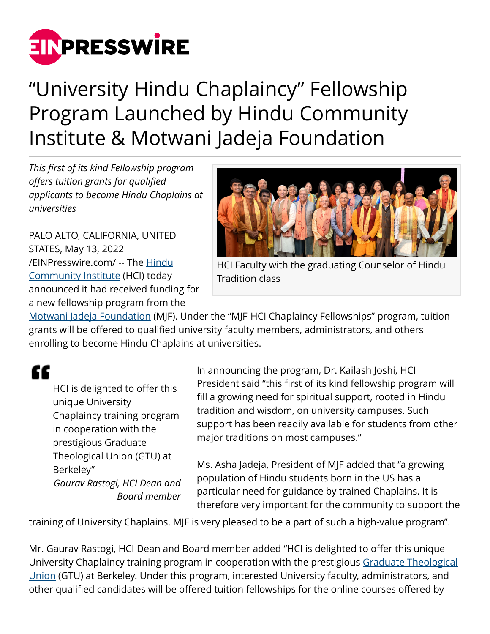

## "University Hindu Chaplaincy" Fellowship Program Launched by Hindu Community Institute & Motwani Jadeja Foundation

*This first of its kind Fellowship program offers tuition grants for qualified applicants to become Hindu Chaplains at universities*

PALO ALTO, CALIFORNIA, UNITED STATES, May 13, 2022 [/EINPresswire.com/](http://www.einpresswire.com) -- The [Hindu](http://www.hinduci.org/) [Community Institute](http://www.hinduci.org/) (HCI) today announced it had received funding for a new fellowship program from the



HCI Faculty with the graduating Counselor of Hindu Tradition class

[Motwani Jadeja Foundation](http://mjf.world) (MJF). Under the "MJF-HCI Chaplaincy Fellowships" program, tuition grants will be offered to qualified university faculty members, administrators, and others enrolling to become Hindu Chaplains at universities.

## ££

HCI is delighted to offer this unique University Chaplaincy training program in cooperation with the prestigious Graduate Theological Union (GTU) at Berkeley" *Gaurav Rastogi, HCI Dean and Board member* In announcing the program, Dr. Kailash Joshi, HCI President said "this first of its kind fellowship program will fill a growing need for spiritual support, rooted in Hindu tradition and wisdom, on university campuses. Such support has been readily available for students from other major traditions on most campuses."

Ms. Asha Jadeja, President of MJF added that "a growing population of Hindu students born in the US has a particular need for guidance by trained Chaplains. It is therefore very important for the community to support the

training of University Chaplains. MJF is very pleased to be a part of such a high-value program".

Mr. Gaurav Rastogi, HCI Dean and Board member added "HCI is delighted to offer this unique University Chaplaincy training program in cooperation with the prestigious [Graduate Theological](http://www.gtu.edu/) [Union](http://www.gtu.edu/) (GTU) at Berkeley. Under this program, interested University faculty, administrators, and other qualified candidates will be offered tuition fellowships for the online courses offered by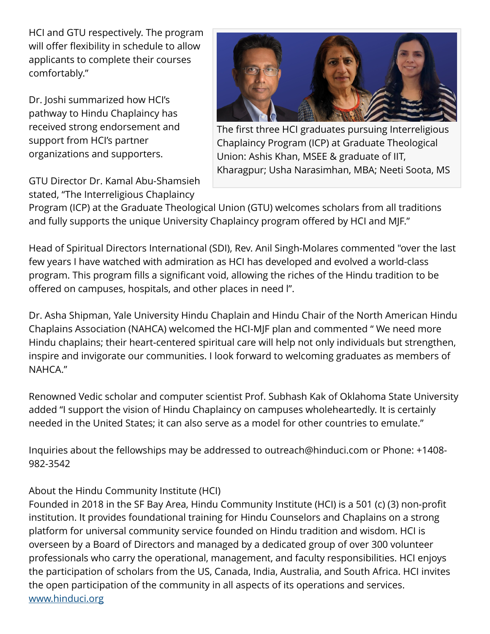HCI and GTU respectively. The program will offer flexibility in schedule to allow applicants to complete their courses comfortably."

Dr. Joshi summarized how HCI's pathway to Hindu Chaplaincy has received strong endorsement and support from HCI's partner organizations and supporters.

GTU Director Dr. Kamal Abu-Shamsieh stated, "The Interreligious Chaplaincy



The first three HCI graduates pursuing Interreligious Chaplaincy Program (ICP) at Graduate Theological Union: Ashis Khan, MSEE & graduate of IIT, Kharagpur; Usha Narasimhan, MBA; Neeti Soota, MS

Program (ICP) at the Graduate Theological Union (GTU) welcomes scholars from all traditions and fully supports the unique University Chaplaincy program offered by HCI and MJF."

Head of Spiritual Directors International (SDI), Rev. Anil Singh-Molares commented "over the last few years I have watched with admiration as HCI has developed and evolved a world-class program. This program fills a significant void, allowing the riches of the Hindu tradition to be offered on campuses, hospitals, and other places in need l".

Dr. Asha Shipman, Yale University Hindu Chaplain and Hindu Chair of the North American Hindu Chaplains Association (NAHCA) welcomed the HCI-MJF plan and commented " We need more Hindu chaplains; their heart-centered spiritual care will help not only individuals but strengthen, inspire and invigorate our communities. I look forward to welcoming graduates as members of NAHCA."

Renowned Vedic scholar and computer scientist Prof. Subhash Kak of Oklahoma State University added "I support the vision of Hindu Chaplaincy on campuses wholeheartedly. It is certainly needed in the United States; it can also serve as a model for other countries to emulate."

Inquiries about the fellowships may be addressed to outreach@hinduci.com or Phone: +1408- 982-3542

## About the Hindu Community Institute (HCI)

Founded in 2018 in the SF Bay Area, Hindu Community Institute (HCI) is a 501 (c) (3) non-profit institution. It provides foundational training for Hindu Counselors and Chaplains on a strong platform for universal community service founded on Hindu tradition and wisdom. HCI is overseen by a Board of Directors and managed by a dedicated group of over 300 volunteer professionals who carry the operational, management, and faculty responsibilities. HCI enjoys the participation of scholars from the US, Canada, India, Australia, and South Africa. HCI invites the open participation of the community in all aspects of its operations and services. [www.hinduci.org](http://www.hinduci.org)